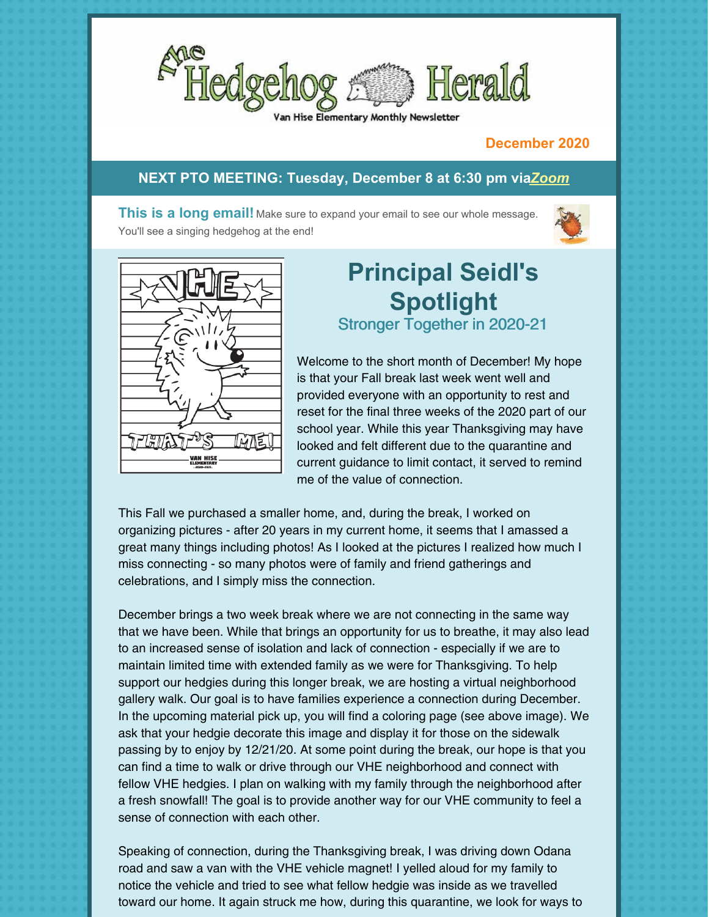

#### Hise Elementary Monthly Newsletter

#### **December 2020**

#### **NEXT PTO MEETING: Tuesday, December 8 at 6:30 pm via***[Zoom](https://us02web.zoom.us/j/86956046342?pwd=ZEc2L08vcG9QeWFDdHZLeTBwU0Nzdz09#success)*

**This is a long email!** Make sure to expand your email to see our whole message. You'll see a singing hedgehog at the end!





# **Principal Seidl's Spotlight**

Stronger Together in 2020-21

Welcome to the short month of December! My hope is that your Fall break last week went well and provided everyone with an opportunity to rest and reset for the final three weeks of the 2020 part of our school year. While this year Thanksgiving may have looked and felt different due to the quarantine and current guidance to limit contact, it served to remind me of the value of connection.

This Fall we purchased a smaller home, and, during the break, I worked on organizing pictures - after 20 years in my current home, it seems that I amassed a great many things including photos! As I looked at the pictures I realized how much I miss connecting - so many photos were of family and friend gatherings and celebrations, and I simply miss the connection.

December brings a two week break where we are not connecting in the same way that we have been. While that brings an opportunity for us to breathe, it may also lead to an increased sense of isolation and lack of connection - especially if we are to maintain limited time with extended family as we were for Thanksgiving. To help support our hedgies during this longer break, we are hosting a virtual neighborhood gallery walk. Our goal is to have families experience a connection during December. In the upcoming material pick up, you will find a coloring page (see above image). We ask that your hedgie decorate this image and display it for those on the sidewalk passing by to enjoy by 12/21/20. At some point during the break, our hope is that you can find a time to walk or drive through our VHE neighborhood and connect with fellow VHE hedgies. I plan on walking with my family through the neighborhood after a fresh snowfall! The goal is to provide another way for our VHE community to feel a sense of connection with each other.

Speaking of connection, during the Thanksgiving break, I was driving down Odana road and saw a van with the VHE vehicle magnet! I yelled aloud for my family to notice the vehicle and tried to see what fellow hedgie was inside as we travelled toward our home. It again struck me how, during this quarantine, we look for ways to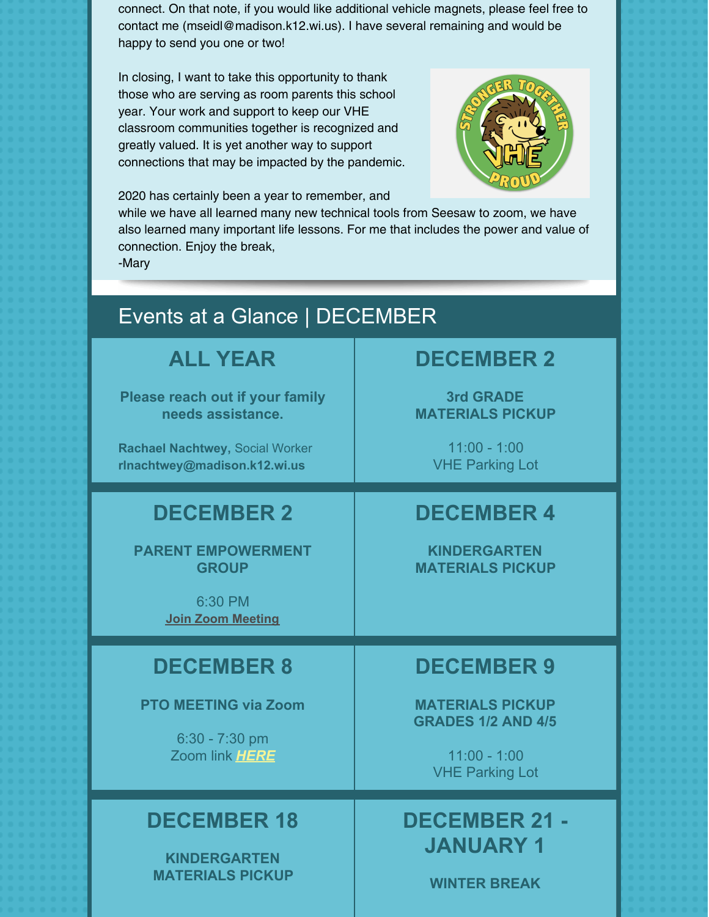connect. On that note, if you would like additional vehicle magnets, please feel free to contact me (mseidl@madison.k12.wi.us). I have several remaining and would be happy to send you one or two!

In closing, I want to take this opportunity to thank those who are serving as room parents this school year. Your work and support to keep our VHE classroom communities together is recognized and greatly valued. It is yet another way to support connections that may be impacted by the pandemic.



2020 has certainly been a year to remember, and

while we have all learned many new technical tools from Seesaw to zoom, we have also learned many important life lessons. For me that includes the power and value of connection. Enjoy the break,

-Mary

# Events at a Glance | DECEMBER

**ALL YEAR**

**Please reach out if your family needs assistance.**

**Rachael Nachtwey,** Social Worker **[rlnachtwey@madison.k12.wi.us](mailto:rlnachtwey@madison.k12.wi.us)**

# **DECEMBER 2**

**PARENT EMPOWERMENT GROUP**

> 6:30 PM **Join Zoom [Meeting](https://zoom.us/j/97729592455)**

# **DECEMBER 8**

**PTO MEETING via Zoom**

6:30 - 7:30 pm Zoom link *[HERE](https://us02web.zoom.us/j/86956046342?pwd=ZEc2L08vcG9QeWFDdHZLeTBwU0Nzdz09#success)*

#### **DECEMBER 18**

**KINDERGARTEN MATERIALS PICKUP**

# **DECEMBER 2**

**3rd GRADE MATERIALS PICKUP**

> 11:00 - 1:00 VHE Parking Lot

# **DECEMBER 4**

**KINDERGARTEN MATERIALS PICKUP**

# **DECEMBER 9**

**MATERIALS PICKUP GRADES 1/2 AND 4/5**

> 11:00 - 1:00 VHE Parking Lot

# **DECEMBER 21 - JANUARY 1**

**WINTER BREAK**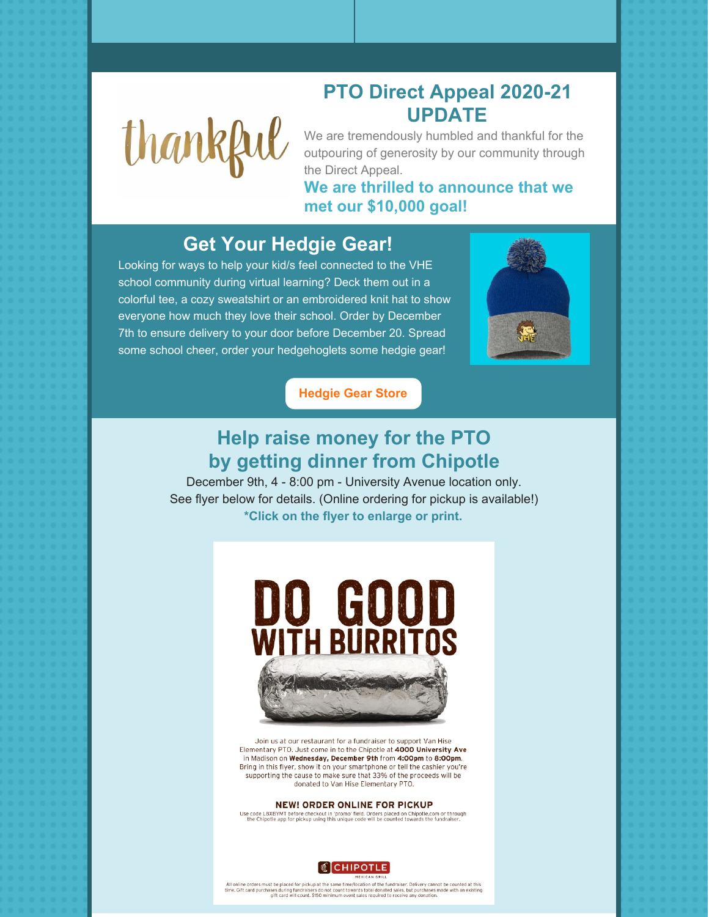

#### **PTO Direct Appeal 2020-21 UPDATE**

We are tremendously humbled and thankful for the outpouring of generosity by our community through the Direct Appeal.

**We are thrilled to announce that we met our \$10,000 goal!**

# **Get Your Hedgie Gear!**

Looking for ways to help your kid/s feel connected to the VHE school community during virtual learning? Deck them out in a colorful tee, a cozy sweatshirt or an embroidered knit hat to show everyone how much they love their school. Order by December 7th to ensure delivery to your door before December 20. Spread some school cheer, order your hedgehoglets some hedgie gear!



**[Hedgie](http://www.vhestore.com/van_hise/shop/home) Gear Store**

# **Help raise money for the PTO by getting dinner from Chipotle**

December 9th, 4 - 8:00 pm - University Avenue location only. See flyer below for details. (Online ordering for pickup is available!) **\*Click on the flyer to enlarge or print.**



Join us at our restaurant for a fundraiser to support Van Hise Elementary PTO. Just come in to the Chipotle at 4000 University Ave in Madison on Wednesday, December 9th from 4:00pm to 8:00pm. Bring in this flyer, show it on your smartphone or tell the cashier you're supporting the cause to make sure that 33% of the proceeds will be donated to Van Hise Elementary PTO.

#### **NEW! ORDER ONLINE FOR PICKUP**

Use code LBXBYMT before checkout in 'promo' field. Orders placed on Chipotle.com or through the Chipotle app for pickup using this unique code will be counted towards the fundraiser.



All online orders must be placed for pickup at the same time/location of the fundraiser. Delivery cannot be counted at this<br>time. Gift card purchases during fundraisers do not count towards total donated sales, but purchas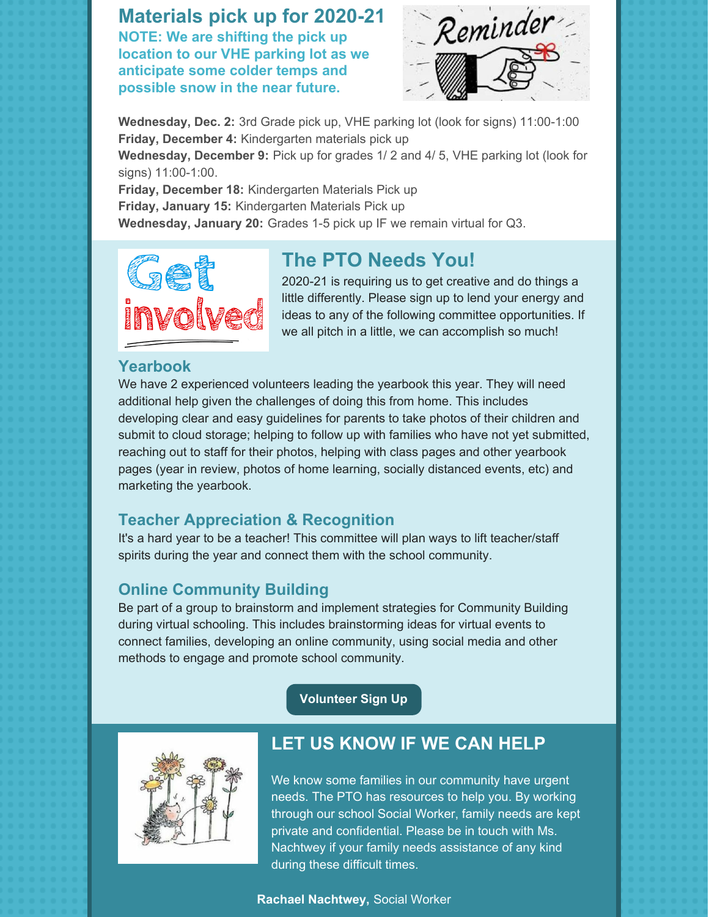**Materials pick up for 2020-21 NOTE: We are shifting the pick up location to our VHE parking lot as we anticipate some colder temps and possible snow in the near future.**



**Wednesday, Dec. 2:** 3rd Grade pick up, VHE parking lot (look for signs) 11:00-1:00 **Friday, December 4:** Kindergarten materials pick up

**Wednesday, December 9:** Pick up for grades 1/ 2 and 4/ 5, VHE parking lot (look for signs) 11:00-1:00.

**Friday, December 18:** Kindergarten Materials Pick up **Friday, January 15:** Kindergarten Materials Pick up **Wednesday, January 20:** Grades 1-5 pick up IF we remain virtual for Q3.



#### **The PTO Needs You!**

2020-21 is requiring us to get creative and do things a little differently. Please sign up to lend your energy and ideas to any of the following committee opportunities. If we all pitch in a little, we can accomplish so much!

#### **Yearbook**

We have 2 experienced volunteers leading the yearbook this year. They will need additional help given the challenges of doing this from home. This includes developing clear and easy guidelines for parents to take photos of their children and submit to cloud storage; helping to follow up with families who have not yet submitted, reaching out to staff for their photos, helping with class pages and other yearbook pages (year in review, photos of home learning, socially distanced events, etc) and marketing the yearbook.

#### **Teacher Appreciation & Recognition**

It's a hard year to be a teacher! This committee will plan ways to lift teacher/staff spirits during the year and connect them with the school community.

#### **Online Community Building**

Be part of a group to brainstorm and implement strategies for Community Building during virtual schooling. This includes brainstorming ideas for virtual events to connect families, developing an online community, using social media and other methods to engage and promote school community.

**[Volunteer](https://docs.google.com/forms/d/e/1FAIpQLScGfR-dTfkPhqgoBG2uNhk_MhAtljLkM485EanMh8Uep15EZg/viewform?gxids=7757) Sign Up**



#### **LET US KNOW IF WE CAN HELP**

We know some families in our community have urgent needs. The PTO has resources to help you. By working through our school Social Worker, family needs are kept private and confidential. Please be in touch with Ms. Nachtwey if your family needs assistance of any kind during these difficult times.

#### **Rachael Nachtwey,** Social Worker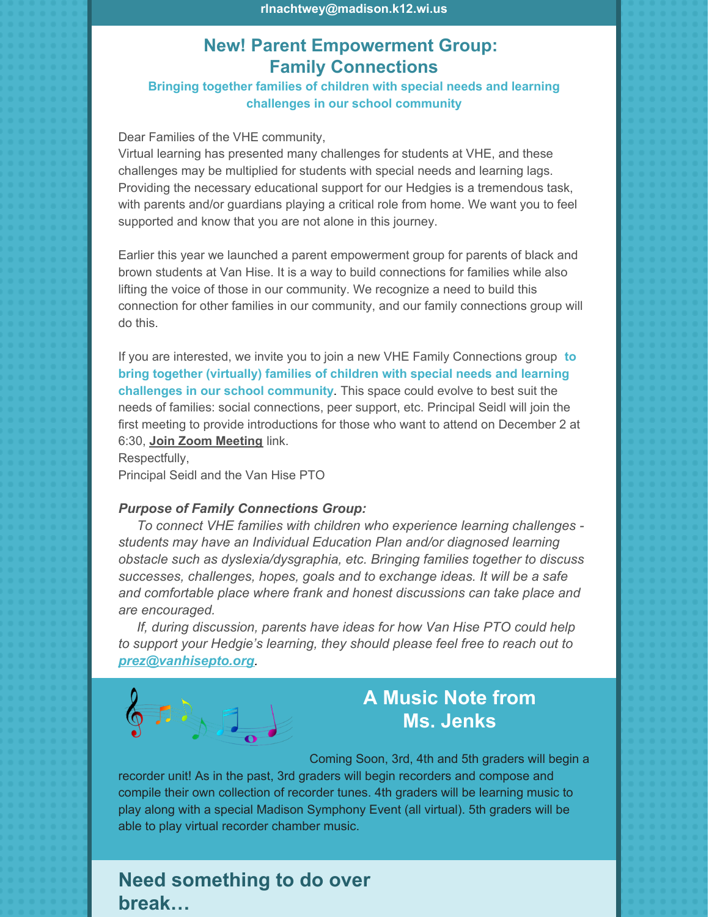#### **New! Parent Empowerment Group: Family Connections**

**Bringing together families of children with special needs and learning challenges in our school community**

#### Dear Families of the VHE community,

Virtual learning has presented many challenges for students at VHE, and these challenges may be multiplied for students with special needs and learning lags. Providing the necessary educational support for our Hedgies is a tremendous task, with parents and/or guardians playing a critical role from home. We want you to feel supported and know that you are not alone in this journey.

Earlier this year we launched a parent empowerment group for parents of black and brown students at Van Hise. It is a way to build connections for families while also lifting the voice of those in our community. We recognize a need to build this connection for other families in our community, and our family connections group will do this.

If you are interested, we invite you to join a new VHE Family Connections group **to bring together (virtually) families of children with special needs and learning challenges in our school community**. This space could evolve to best suit the needs of families: social connections, peer support, etc. Principal Seidl will join the first meeting to provide introductions for those who want to attend on December 2 at 6:30, **Join Zoom [Meeting](https://zoom.us/j/97729592455)** link.

Respectfully, Principal Seidl and the Van Hise PTO

#### *Purpose of Family Connections Group:*

*To connect VHE families with children who experience learning challenges students may have an Individual Education Plan and/or diagnosed learning obstacle such as dyslexia/dysgraphia, etc. Bringing families together to discuss successes, challenges, hopes, goals and to exchange ideas. It will be a safe and comfortable place where frank and honest discussions can take place and are encouraged.*

*If, during discussion, parents have ideas for how Van Hise PTO could help to support your Hedgie's learning, they should please feel free to reach out to [prez@vanhisepto.org](mailto:prez@vanhisepto.org).*



# **A Music Note from Ms. Jenks**

Coming Soon, 3rd, 4th and 5th graders will begin a

recorder unit! As in the past, 3rd graders will begin recorders and compose and compile their own collection of recorder tunes. 4th graders will be learning music to play along with a special Madison Symphony Event (all virtual). 5th graders will be able to play virtual recorder chamber music.

#### **Need something to do over break…**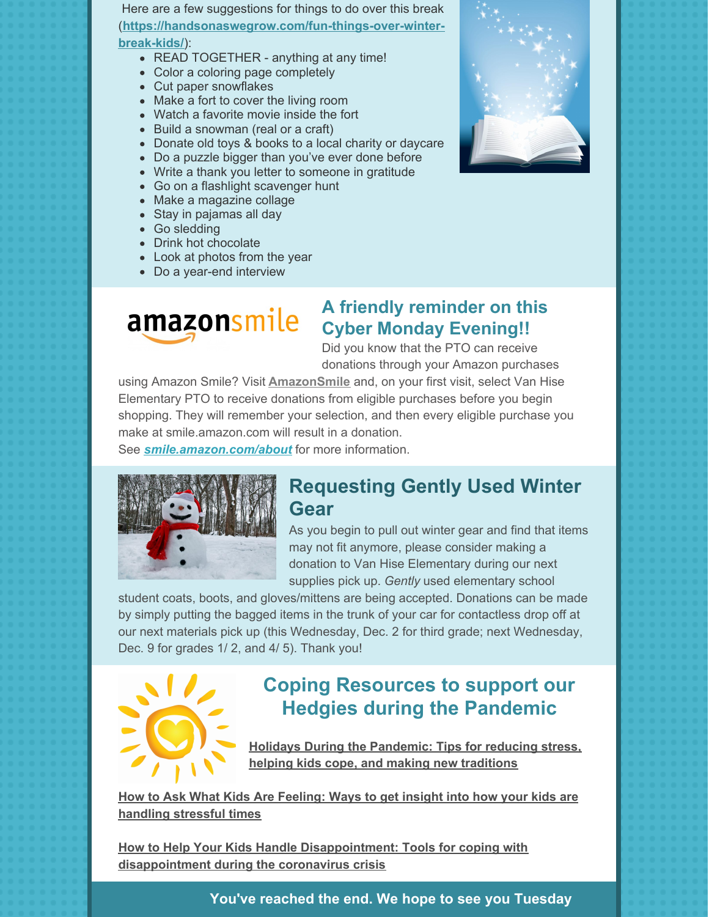Here are a few suggestions for things to do over this break (**[https://handsonaswegrow.com/fun-things-over-winter](https://handsonaswegrow.com/fun-things-over-winter-break-kids/)break-kids/**):

- READ TOGETHER anything at any time!
- Color a coloring page [completely](https://handsonaswegrow.com/winter-christmas-coloring-pages/)
- Cut paper [snowflakes](https://handsonaswegrow.com/make-easy-snowflakes-snowy-garland/)
- Make a fort to cover the living room
- Watch a favorite movie inside the fort
- Build a snowman (real or a craft)
- Donate old toys & books to a local charity or daycare
- Do a puzzle bigger than you've ever done before
- Write a thank you letter to someone in gratitude
- Go on a flashlight [scavenger](https://handsonaswegrow.com/christmas-flashlight-scavenger-hunt-kids/) hunt
- Make a [magazine](https://handsonaswegrow.com/sorting-pictures-of-living-and-nonliving-things/) collage
- Stay in pajamas all day
- Go sledding
- Drink hot chocolate
- Look at photos from the year
- Do a [year-end](https://handsonaswegrow.com/year-end-interview-kids/) interview



#### **A friendly reminder on this Cyber Monday Evening!!**

Did you know that the PTO can receive donations through your Amazon purchases

using Amazon Smile? Visit **[AmazonSmile](https://smile.amazon.com/)** and, on your first visit, select Van Hise Elementary PTO to receive donations from eligible purchases before you begin shopping. They will remember your selection, and then every eligible purchase you make at smile.amazon.com will result in a donation.

See *[smile.amazon.com/about](http://smile.amazon.com/about)* for more information.



#### **Requesting Gently Used Winter Gear**

As you begin to pull out winter gear and find that items may not fit anymore, please consider making a donation to Van Hise Elementary during our next supplies pick up. *Gently* used elementary school

student coats, boots, and gloves/mittens are being accepted. Donations can be made by simply putting the bagged items in the trunk of your car for contactless drop off at our next materials pick up (this Wednesday, Dec. 2 for third grade; next Wednesday, Dec. 9 for grades 1/ 2, and 4/ 5). Thank you!



# **Coping Resources to support our Hedgies during the Pandemic**

**Holidays During the [Pandemic:](https://childmind.org/article/holiday-during-the-pandemic/?utm_source=newsletter&utm_medium=email&utm_content=Holidays During the Pandemic&utm_campaign=Public-Ed-Newsletter) Tips for reducing stress, helping kids cope, and making new traditions**

**How to Ask What Kids Are Feeling: Ways to get insight into how your kids are handling [stressful](https://childmind.org/article/how-to-ask-what-kids-are-feeling-during-stressful-times/?utm_source=newsletter&utm_medium=email&utm_content=How to Ask What Kids Are Feeling&utm_campaign=Public-Ed-Newsletter) times**

**How to Help Your Kids Handle [Disappointment:](https://childmind.org/article/how-to-help-your-kids-handle-disappointment/?utm_source=newsletter&utm_medium=email&utm_content=How to Help Your Kids Handle Disappointment&utm_campaign=Public-Ed-Newsletter) Tools for coping with disappointment during the coronavirus crisis**